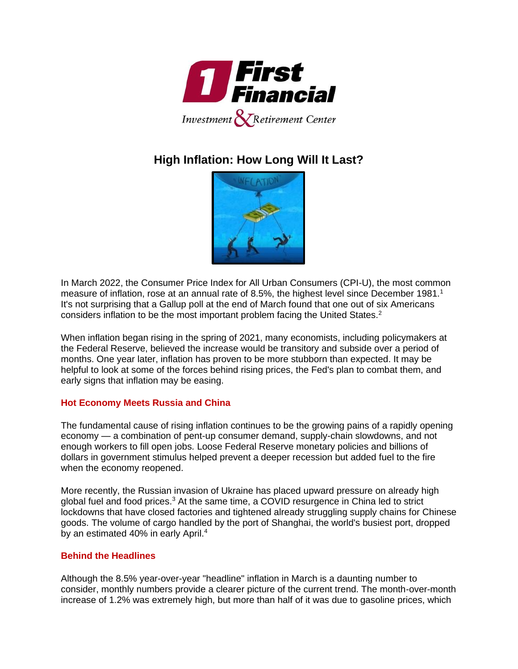

# **High Inflation: How Long Will It Last?**



In March 2022, the Consumer Price Index for All Urban Consumers (CPI-U), the most common measure of inflation, rose at an annual rate of 8.5%, the highest level since December 1981.<sup>1</sup> It's not surprising that a Gallup poll at the end of March found that one out of six Americans considers inflation to be the most important problem facing the United States.<sup>2</sup>

When inflation began rising in the spring of 2021, many economists, including policymakers at the Federal Reserve, believed the increase would be transitory and subside over a period of months. One year later, inflation has proven to be more stubborn than expected. It may be helpful to look at some of the forces behind rising prices, the Fed's plan to combat them, and early signs that inflation may be easing.

## **Hot Economy Meets Russia and China**

The fundamental cause of rising inflation continues to be the growing pains of a rapidly opening economy — a combination of pent-up consumer demand, supply-chain slowdowns, and not enough workers to fill open jobs. Loose Federal Reserve monetary policies and billions of dollars in government stimulus helped prevent a deeper recession but added fuel to the fire when the economy reopened.

More recently, the Russian invasion of Ukraine has placed upward pressure on already high global fuel and food prices.<sup>3</sup> At the same time, a COVID resurgence in China led to strict lockdowns that have closed factories and tightened already struggling supply chains for Chinese goods. The volume of cargo handled by the port of Shanghai, the world's busiest port, dropped by an estimated 40% in early April.<sup>4</sup>

## **Behind the Headlines**

Although the 8.5% year-over-year "headline" inflation in March is a daunting number to consider, monthly numbers provide a clearer picture of the current trend. The month-over-month increase of 1.2% was extremely high, but more than half of it was due to gasoline prices, which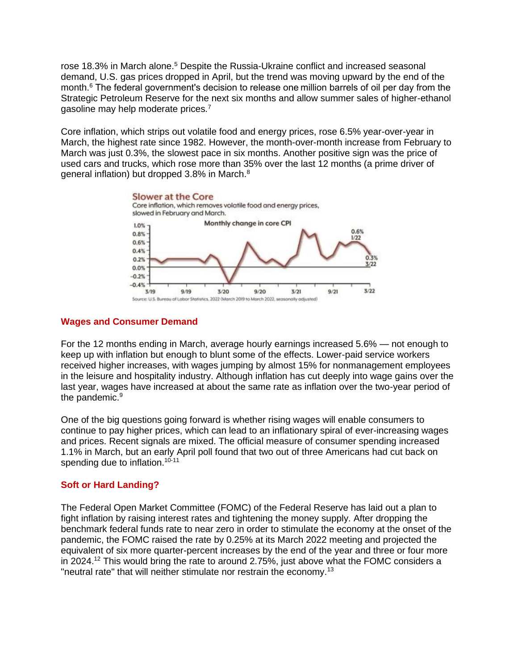rose 18.3% in March alone.<sup>5</sup> Despite the Russia-Ukraine conflict and increased seasonal demand, U.S. gas prices dropped in April, but the trend was moving upward by the end of the month.<sup>6</sup> The federal government's decision to release one million barrels of oil per day from the Strategic Petroleum Reserve for the next six months and allow summer sales of higher-ethanol gasoline may help moderate prices.<sup>7</sup>

Core inflation, which strips out volatile food and energy prices, rose 6.5% year-over-year in March, the highest rate since 1982. However, the month-over-month increase from February to March was just 0.3%, the slowest pace in six months. Another positive sign was the price of used cars and trucks, which rose more than 35% over the last 12 months (a prime driver of general inflation) but dropped 3.8% in March.<sup>8</sup>



## **Wages and Consumer Demand**

For the 12 months ending in March, average hourly earnings increased 5.6% — not enough to keep up with inflation but enough to blunt some of the effects. Lower-paid service workers received higher increases, with wages jumping by almost 15% for nonmanagement employees in the leisure and hospitality industry. Although inflation has cut deeply into wage gains over the last year, wages have increased at about the same rate as inflation over the two-year period of the pandemic.<sup>9</sup>

One of the big questions going forward is whether rising wages will enable consumers to continue to pay higher prices, which can lead to an inflationary spiral of ever-increasing wages and prices. Recent signals are mixed. The official measure of consumer spending increased 1.1% in March, but an early April poll found that two out of three Americans had cut back on spending due to inflation.<sup>10-11</sup>

## **Soft or Hard Landing?**

The Federal Open Market Committee (FOMC) of the Federal Reserve has laid out a plan to fight inflation by raising interest rates and tightening the money supply. After dropping the benchmark federal funds rate to near zero in order to stimulate the economy at the onset of the pandemic, the FOMC raised the rate by 0.25% at its March 2022 meeting and projected the equivalent of six more quarter-percent increases by the end of the year and three or four more in 2024.<sup>12</sup> This would bring the rate to around 2.75%, just above what the FOMC considers a "neutral rate" that will neither stimulate nor restrain the economy.13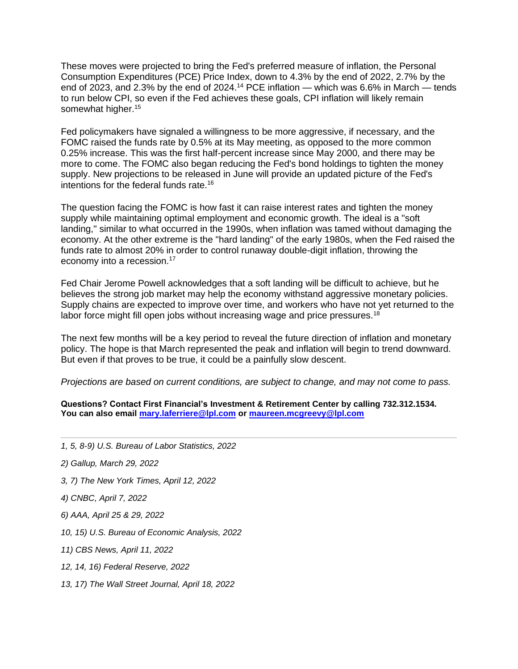These moves were projected to bring the Fed's preferred measure of inflation, the Personal Consumption Expenditures (PCE) Price Index, down to 4.3% by the end of 2022, 2.7% by the end of 2023, and 2.3% by the end of 2024.<sup>14</sup> PCE inflation — which was 6.6% in March — tends to run below CPI, so even if the Fed achieves these goals, CPI inflation will likely remain somewhat higher.<sup>15</sup>

Fed policymakers have signaled a willingness to be more aggressive, if necessary, and the FOMC raised the funds rate by 0.5% at its May meeting, as opposed to the more common 0.25% increase. This was the first half-percent increase since May 2000, and there may be more to come. The FOMC also began reducing the Fed's bond holdings to tighten the money supply. New projections to be released in June will provide an updated picture of the Fed's intentions for the federal funds rate.<sup>16</sup>

The question facing the FOMC is how fast it can raise interest rates and tighten the money supply while maintaining optimal employment and economic growth. The ideal is a "soft landing," similar to what occurred in the 1990s, when inflation was tamed without damaging the economy. At the other extreme is the "hard landing" of the early 1980s, when the Fed raised the funds rate to almost 20% in order to control runaway double-digit inflation, throwing the economy into a recession.<sup>17</sup>

Fed Chair Jerome Powell acknowledges that a soft landing will be difficult to achieve, but he believes the strong job market may help the economy withstand aggressive monetary policies. Supply chains are expected to improve over time, and workers who have not yet returned to the labor force might fill open jobs without increasing wage and price pressures.<sup>18</sup>

The next few months will be a key period to reveal the future direction of inflation and monetary policy. The hope is that March represented the peak and inflation will begin to trend downward. But even if that proves to be true, it could be a painfully slow descent.

*Projections are based on current conditions, are subject to change, and may not come to pass.*

**Questions? Contact First Financial's Investment & Retirement Center by calling 732.312.1534. You can also email [mary.laferriere@lpl.com](mailto:mary.laferriere@lpl.com) or [maureen.mcgreevy@lpl.com](mailto:maureen.mcgreevy@lpl.com)**

- *1, 5, 8-9) U.S. Bureau of Labor Statistics, 2022*
- *2) Gallup, March 29, 2022*
- *3, 7) The New York Times, April 12, 2022*
- *4) CNBC, April 7, 2022*
- *6) AAA, April 25 & 29, 2022*
- *10, 15) U.S. Bureau of Economic Analysis, 2022*
- *11) CBS News, April 11, 2022*
- *12, 14, 16) Federal Reserve, 2022*
- *13, 17) The Wall Street Journal, April 18, 2022*